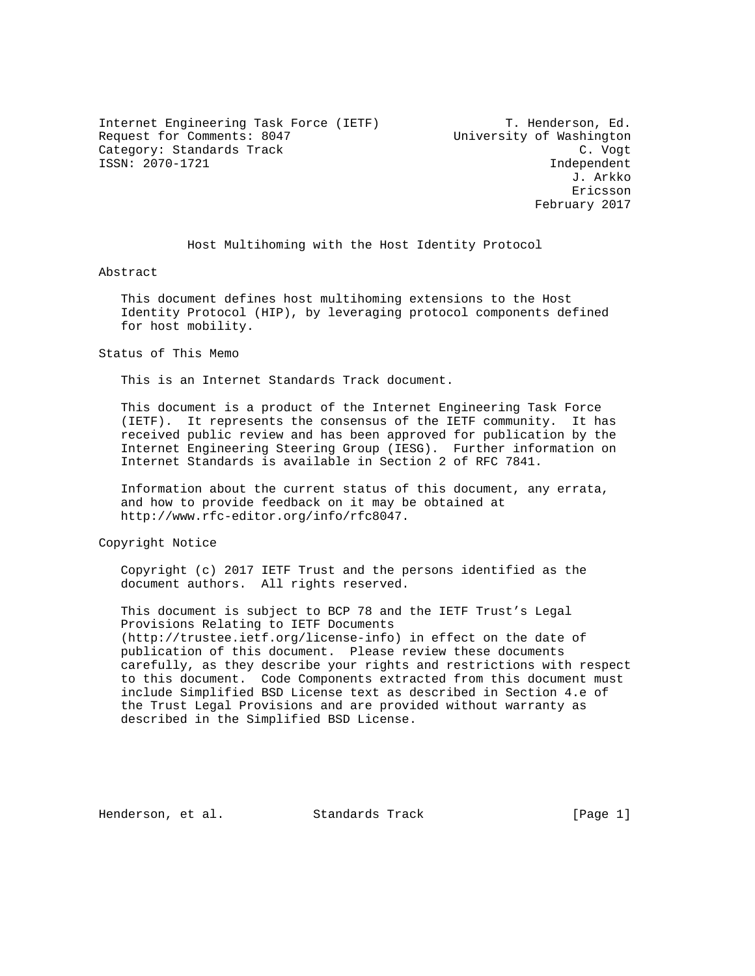Internet Engineering Task Force (IETF) T. Henderson, Ed. Request for Comments: 8047 University of Washington Category: Standards Track C. Vogt ISSN: 2070-1721 Independent

 J. Arkko Ericsson February 2017

Host Multihoming with the Host Identity Protocol

Abstract

 This document defines host multihoming extensions to the Host Identity Protocol (HIP), by leveraging protocol components defined for host mobility.

Status of This Memo

This is an Internet Standards Track document.

 This document is a product of the Internet Engineering Task Force (IETF). It represents the consensus of the IETF community. It has received public review and has been approved for publication by the Internet Engineering Steering Group (IESG). Further information on Internet Standards is available in Section 2 of RFC 7841.

 Information about the current status of this document, any errata, and how to provide feedback on it may be obtained at http://www.rfc-editor.org/info/rfc8047.

Copyright Notice

 Copyright (c) 2017 IETF Trust and the persons identified as the document authors. All rights reserved.

 This document is subject to BCP 78 and the IETF Trust's Legal Provisions Relating to IETF Documents (http://trustee.ietf.org/license-info) in effect on the date of publication of this document. Please review these documents carefully, as they describe your rights and restrictions with respect to this document. Code Components extracted from this document must include Simplified BSD License text as described in Section 4.e of the Trust Legal Provisions and are provided without warranty as described in the Simplified BSD License.

Henderson, et al. Standards Track [Page 1]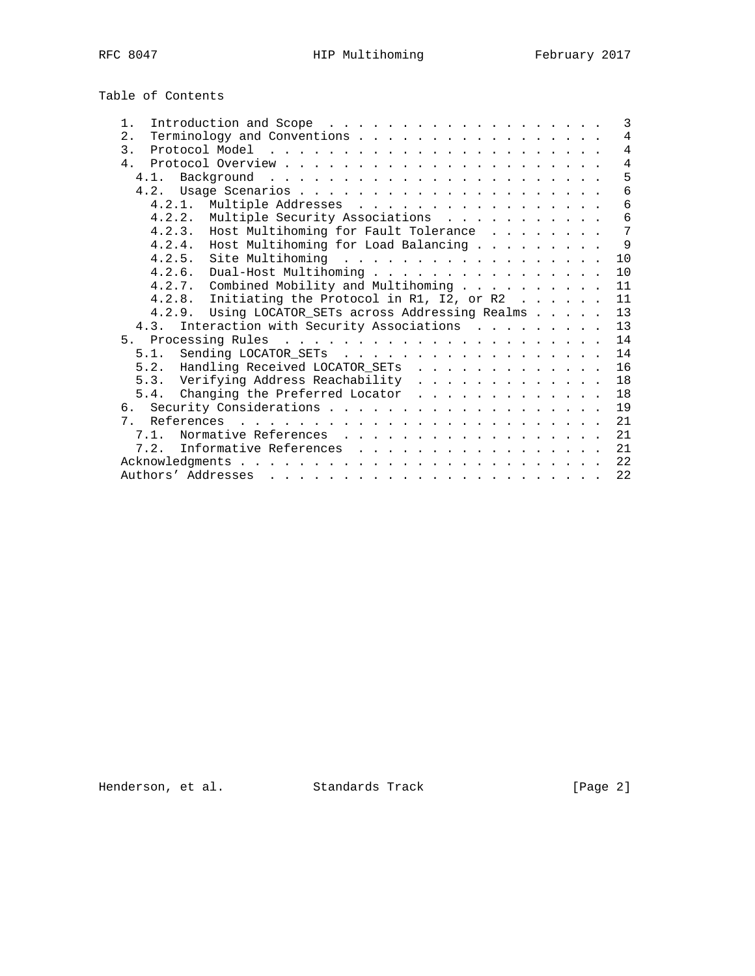Table of Contents

| $1$ .                                                                                                                                                                                                                                                   |  |  | $\mathcal{E}$  |
|---------------------------------------------------------------------------------------------------------------------------------------------------------------------------------------------------------------------------------------------------------|--|--|----------------|
| Terminology and Conventions<br>2.                                                                                                                                                                                                                       |  |  | $\overline{4}$ |
| 3.                                                                                                                                                                                                                                                      |  |  | $\overline{4}$ |
| 4 <sup>1</sup>                                                                                                                                                                                                                                          |  |  | $\overline{4}$ |
| 4.1.                                                                                                                                                                                                                                                    |  |  | 5              |
|                                                                                                                                                                                                                                                         |  |  | 6              |
| 4.2.1. Multiple Addresses                                                                                                                                                                                                                               |  |  | 6              |
| Multiple Security Associations<br>4.2.2.                                                                                                                                                                                                                |  |  | $\epsilon$     |
| 4.2.3. Host Multihoming for Fault Tolerance                                                                                                                                                                                                             |  |  | 7              |
| Host Multihoming for Load Balancing<br>4.2.4.                                                                                                                                                                                                           |  |  | $\mathsf{Q}$   |
|                                                                                                                                                                                                                                                         |  |  | 10             |
| 4.2.6. Dual-Host Multihoming                                                                                                                                                                                                                            |  |  | 10             |
| 4.2.7. Combined Mobility and Multihoming $\ldots$                                                                                                                                                                                                       |  |  | 11             |
| 4.2.8. Initiating the Protocol in R1, I2, or R2                                                                                                                                                                                                         |  |  | 11             |
| 4.2.9. Using LOCATOR_SETs across Addressing Realms                                                                                                                                                                                                      |  |  | 13             |
| 4.3. Interaction with Security Associations                                                                                                                                                                                                             |  |  | 13             |
|                                                                                                                                                                                                                                                         |  |  | 14             |
| 5.1. Sending LOCATOR_SETs                                                                                                                                                                                                                               |  |  | 14             |
| 5.2. Handling Received LOCATOR_SETs                                                                                                                                                                                                                     |  |  | 16             |
| 5.3. Verifying Address Reachability                                                                                                                                                                                                                     |  |  | 18             |
| 5.4. Changing the Preferred Locator                                                                                                                                                                                                                     |  |  | 18             |
|                                                                                                                                                                                                                                                         |  |  | 19             |
| 7.                                                                                                                                                                                                                                                      |  |  | 21             |
| Normative References<br>7.1.                                                                                                                                                                                                                            |  |  | 21             |
| 7.2. Informative References                                                                                                                                                                                                                             |  |  | 21             |
|                                                                                                                                                                                                                                                         |  |  | 22             |
| Authors' Addresses<br>$\mathbf{1}$ , and a set of the set of the set of the set of the set of the set of the set of the set of the set of the set of the set of the set of the set of the set of the set of the set of the set of the set of the set of |  |  | 22             |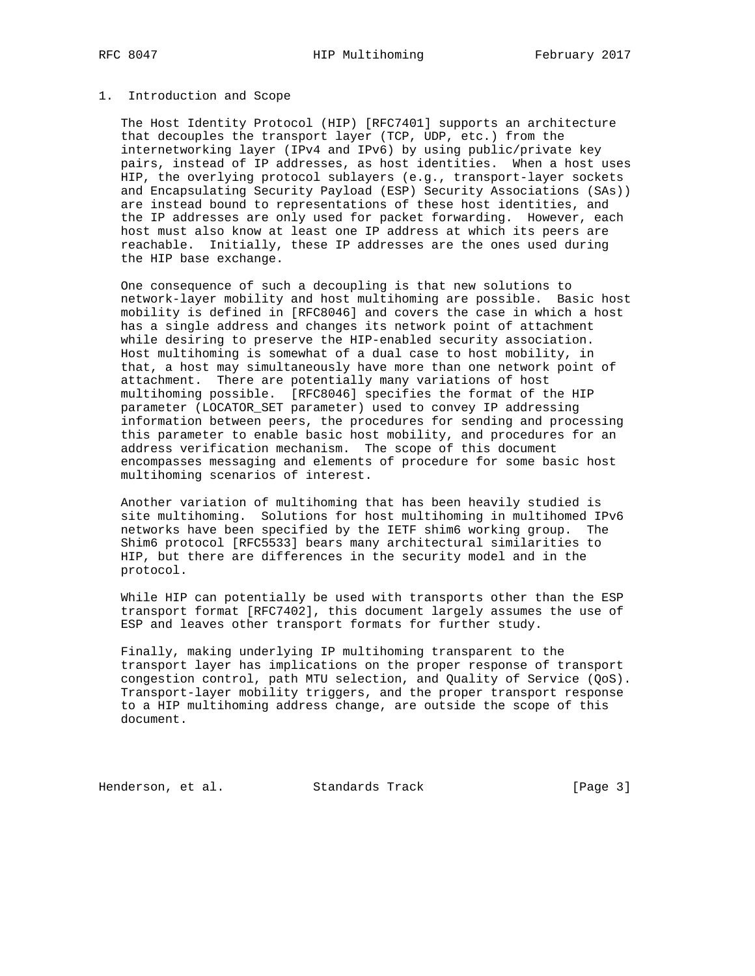### 1. Introduction and Scope

 The Host Identity Protocol (HIP) [RFC7401] supports an architecture that decouples the transport layer (TCP, UDP, etc.) from the internetworking layer (IPv4 and IPv6) by using public/private key pairs, instead of IP addresses, as host identities. When a host uses HIP, the overlying protocol sublayers (e.g., transport-layer sockets and Encapsulating Security Payload (ESP) Security Associations (SAs)) are instead bound to representations of these host identities, and the IP addresses are only used for packet forwarding. However, each host must also know at least one IP address at which its peers are reachable. Initially, these IP addresses are the ones used during the HIP base exchange.

 One consequence of such a decoupling is that new solutions to network-layer mobility and host multihoming are possible. Basic host mobility is defined in [RFC8046] and covers the case in which a host has a single address and changes its network point of attachment while desiring to preserve the HIP-enabled security association. Host multihoming is somewhat of a dual case to host mobility, in that, a host may simultaneously have more than one network point of attachment. There are potentially many variations of host multihoming possible. [RFC8046] specifies the format of the HIP parameter (LOCATOR\_SET parameter) used to convey IP addressing information between peers, the procedures for sending and processing this parameter to enable basic host mobility, and procedures for an address verification mechanism. The scope of this document encompasses messaging and elements of procedure for some basic host multihoming scenarios of interest.

 Another variation of multihoming that has been heavily studied is site multihoming. Solutions for host multihoming in multihomed IPv6 networks have been specified by the IETF shim6 working group. The Shim6 protocol [RFC5533] bears many architectural similarities to HIP, but there are differences in the security model and in the protocol.

 While HIP can potentially be used with transports other than the ESP transport format [RFC7402], this document largely assumes the use of ESP and leaves other transport formats for further study.

 Finally, making underlying IP multihoming transparent to the transport layer has implications on the proper response of transport congestion control, path MTU selection, and Quality of Service (QoS). Transport-layer mobility triggers, and the proper transport response to a HIP multihoming address change, are outside the scope of this document.

Henderson, et al. Standards Track [Page 3]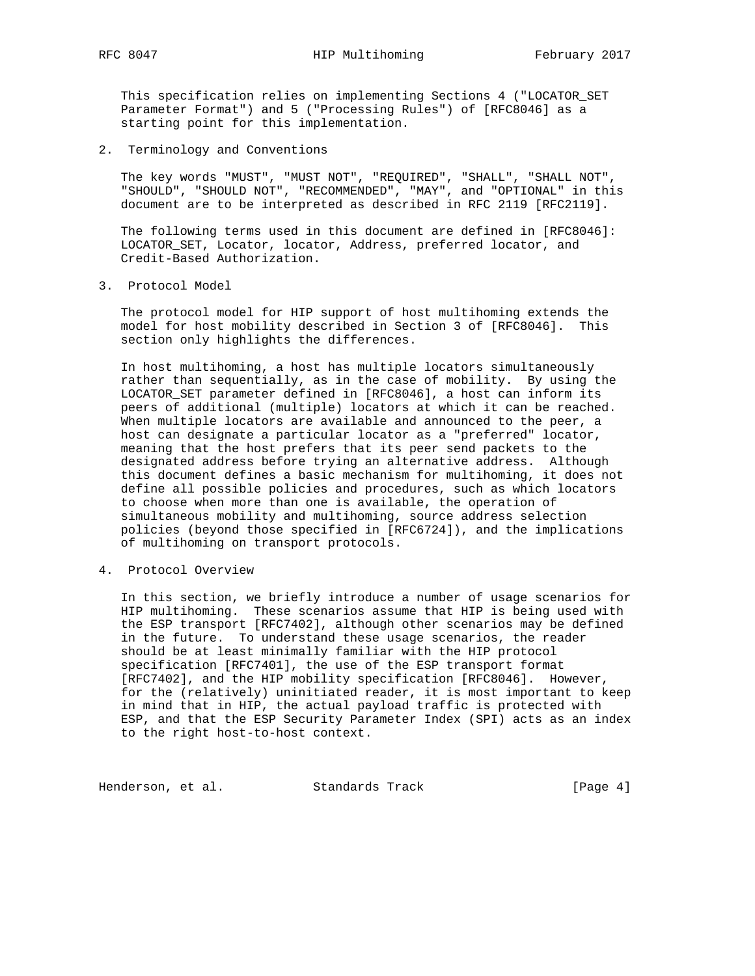This specification relies on implementing Sections 4 ("LOCATOR\_SET Parameter Format") and 5 ("Processing Rules") of [RFC8046] as a starting point for this implementation.

2. Terminology and Conventions

 The key words "MUST", "MUST NOT", "REQUIRED", "SHALL", "SHALL NOT", "SHOULD", "SHOULD NOT", "RECOMMENDED", "MAY", and "OPTIONAL" in this document are to be interpreted as described in RFC 2119 [RFC2119].

 The following terms used in this document are defined in [RFC8046]: LOCATOR\_SET, Locator, locator, Address, preferred locator, and Credit-Based Authorization.

3. Protocol Model

 The protocol model for HIP support of host multihoming extends the model for host mobility described in Section 3 of [RFC8046]. This section only highlights the differences.

 In host multihoming, a host has multiple locators simultaneously rather than sequentially, as in the case of mobility. By using the LOCATOR\_SET parameter defined in [RFC8046], a host can inform its peers of additional (multiple) locators at which it can be reached. When multiple locators are available and announced to the peer, a host can designate a particular locator as a "preferred" locator, meaning that the host prefers that its peer send packets to the designated address before trying an alternative address. Although this document defines a basic mechanism for multihoming, it does not define all possible policies and procedures, such as which locators to choose when more than one is available, the operation of simultaneous mobility and multihoming, source address selection policies (beyond those specified in [RFC6724]), and the implications of multihoming on transport protocols.

4. Protocol Overview

 In this section, we briefly introduce a number of usage scenarios for HIP multihoming. These scenarios assume that HIP is being used with the ESP transport [RFC7402], although other scenarios may be defined in the future. To understand these usage scenarios, the reader should be at least minimally familiar with the HIP protocol specification [RFC7401], the use of the ESP transport format [RFC7402], and the HIP mobility specification [RFC8046]. However, for the (relatively) uninitiated reader, it is most important to keep in mind that in HIP, the actual payload traffic is protected with ESP, and that the ESP Security Parameter Index (SPI) acts as an index to the right host-to-host context.

Henderson, et al. Standards Track [Page 4]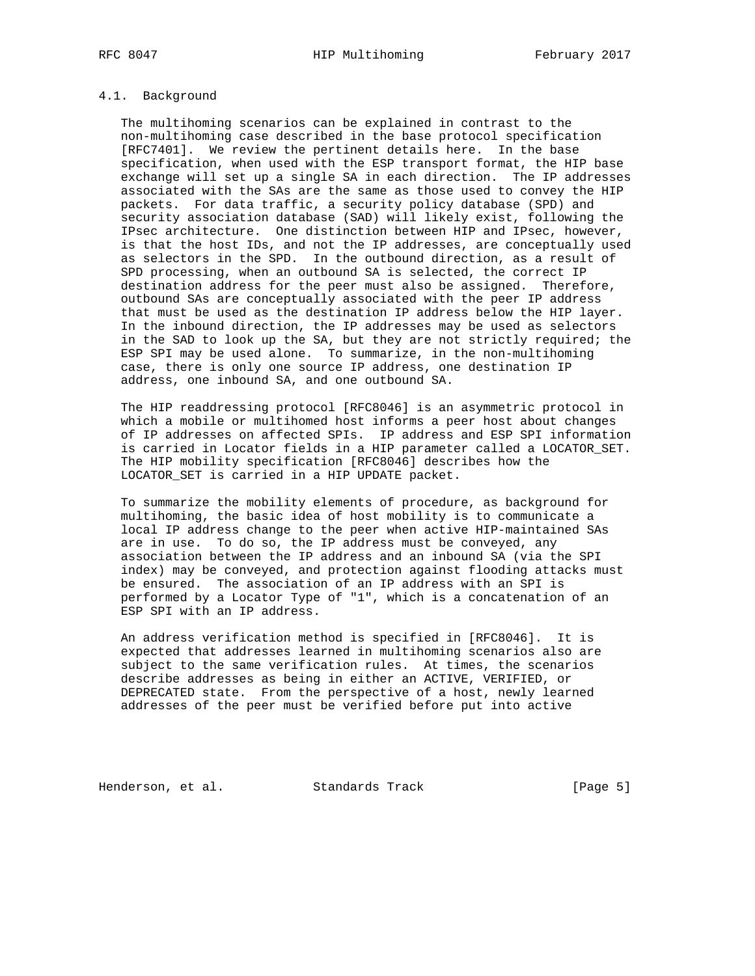## 4.1. Background

 The multihoming scenarios can be explained in contrast to the non-multihoming case described in the base protocol specification [RFC7401]. We review the pertinent details here. In the base specification, when used with the ESP transport format, the HIP base exchange will set up a single SA in each direction. The IP addresses associated with the SAs are the same as those used to convey the HIP packets. For data traffic, a security policy database (SPD) and security association database (SAD) will likely exist, following the IPsec architecture. One distinction between HIP and IPsec, however, is that the host IDs, and not the IP addresses, are conceptually used as selectors in the SPD. In the outbound direction, as a result of SPD processing, when an outbound SA is selected, the correct IP destination address for the peer must also be assigned. Therefore, outbound SAs are conceptually associated with the peer IP address that must be used as the destination IP address below the HIP layer. In the inbound direction, the IP addresses may be used as selectors in the SAD to look up the SA, but they are not strictly required; the ESP SPI may be used alone. To summarize, in the non-multihoming case, there is only one source IP address, one destination IP address, one inbound SA, and one outbound SA.

 The HIP readdressing protocol [RFC8046] is an asymmetric protocol in which a mobile or multihomed host informs a peer host about changes of IP addresses on affected SPIs. IP address and ESP SPI information is carried in Locator fields in a HIP parameter called a LOCATOR\_SET. The HIP mobility specification [RFC8046] describes how the LOCATOR\_SET is carried in a HIP UPDATE packet.

 To summarize the mobility elements of procedure, as background for multihoming, the basic idea of host mobility is to communicate a local IP address change to the peer when active HIP-maintained SAs are in use. To do so, the IP address must be conveyed, any association between the IP address and an inbound SA (via the SPI index) may be conveyed, and protection against flooding attacks must be ensured. The association of an IP address with an SPI is performed by a Locator Type of "1", which is a concatenation of an ESP SPI with an IP address.

 An address verification method is specified in [RFC8046]. It is expected that addresses learned in multihoming scenarios also are subject to the same verification rules. At times, the scenarios describe addresses as being in either an ACTIVE, VERIFIED, or DEPRECATED state. From the perspective of a host, newly learned addresses of the peer must be verified before put into active

Henderson, et al. Standards Track [Page 5]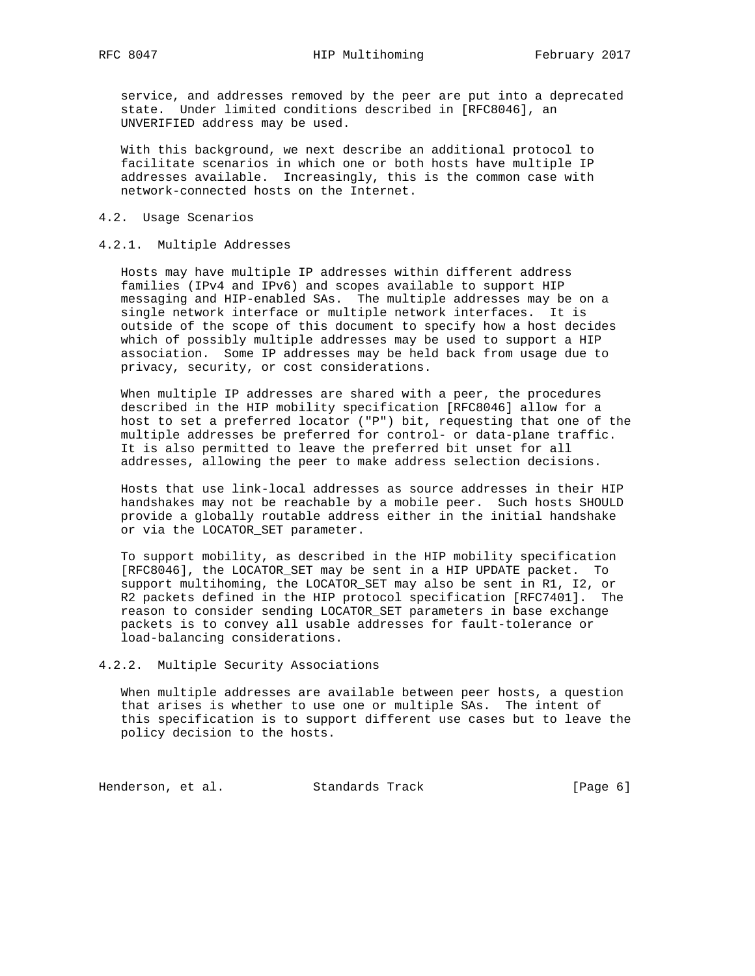service, and addresses removed by the peer are put into a deprecated state. Under limited conditions described in [RFC8046], an UNVERIFIED address may be used.

 With this background, we next describe an additional protocol to facilitate scenarios in which one or both hosts have multiple IP addresses available. Increasingly, this is the common case with network-connected hosts on the Internet.

### 4.2. Usage Scenarios

### 4.2.1. Multiple Addresses

 Hosts may have multiple IP addresses within different address families (IPv4 and IPv6) and scopes available to support HIP messaging and HIP-enabled SAs. The multiple addresses may be on a single network interface or multiple network interfaces. It is outside of the scope of this document to specify how a host decides which of possibly multiple addresses may be used to support a HIP association. Some IP addresses may be held back from usage due to privacy, security, or cost considerations.

 When multiple IP addresses are shared with a peer, the procedures described in the HIP mobility specification [RFC8046] allow for a host to set a preferred locator ("P") bit, requesting that one of the multiple addresses be preferred for control- or data-plane traffic. It is also permitted to leave the preferred bit unset for all addresses, allowing the peer to make address selection decisions.

 Hosts that use link-local addresses as source addresses in their HIP handshakes may not be reachable by a mobile peer. Such hosts SHOULD provide a globally routable address either in the initial handshake or via the LOCATOR\_SET parameter.

 To support mobility, as described in the HIP mobility specification [RFC8046], the LOCATOR\_SET may be sent in a HIP UPDATE packet. To support multihoming, the LOCATOR\_SET may also be sent in R1, I2, or R2 packets defined in the HIP protocol specification [RFC7401]. The reason to consider sending LOCATOR\_SET parameters in base exchange packets is to convey all usable addresses for fault-tolerance or load-balancing considerations.

#### 4.2.2. Multiple Security Associations

 When multiple addresses are available between peer hosts, a question that arises is whether to use one or multiple SAs. The intent of this specification is to support different use cases but to leave the policy decision to the hosts.

Henderson, et al. Standards Track [Page 6]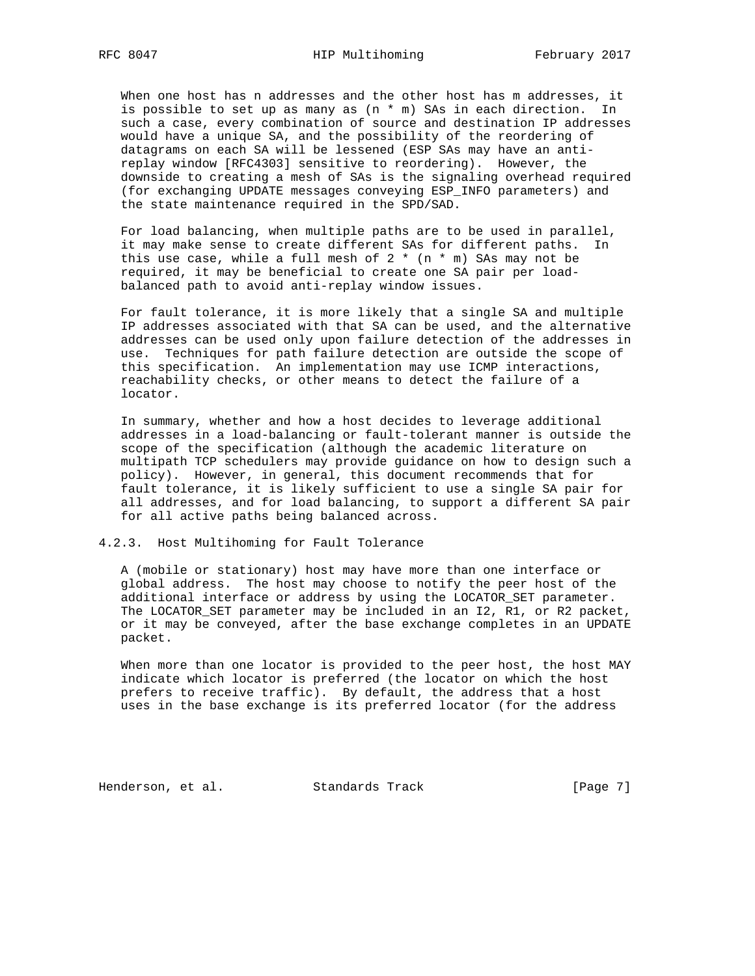When one host has n addresses and the other host has m addresses, it is possible to set up as many as (n \* m) SAs in each direction. In such a case, every combination of source and destination IP addresses would have a unique SA, and the possibility of the reordering of datagrams on each SA will be lessened (ESP SAs may have an anti replay window [RFC4303] sensitive to reordering). However, the downside to creating a mesh of SAs is the signaling overhead required (for exchanging UPDATE messages conveying ESP\_INFO parameters) and the state maintenance required in the SPD/SAD.

 For load balancing, when multiple paths are to be used in parallel, it may make sense to create different SAs for different paths. In this use case, while a full mesh of  $2 * (n * m)$  SAs may not be required, it may be beneficial to create one SA pair per load balanced path to avoid anti-replay window issues.

 For fault tolerance, it is more likely that a single SA and multiple IP addresses associated with that SA can be used, and the alternative addresses can be used only upon failure detection of the addresses in use. Techniques for path failure detection are outside the scope of this specification. An implementation may use ICMP interactions, reachability checks, or other means to detect the failure of a locator.

 In summary, whether and how a host decides to leverage additional addresses in a load-balancing or fault-tolerant manner is outside the scope of the specification (although the academic literature on multipath TCP schedulers may provide guidance on how to design such a policy). However, in general, this document recommends that for fault tolerance, it is likely sufficient to use a single SA pair for all addresses, and for load balancing, to support a different SA pair for all active paths being balanced across.

4.2.3. Host Multihoming for Fault Tolerance

 A (mobile or stationary) host may have more than one interface or global address. The host may choose to notify the peer host of the additional interface or address by using the LOCATOR\_SET parameter. The LOCATOR\_SET parameter may be included in an I2, R1, or R2 packet, or it may be conveyed, after the base exchange completes in an UPDATE packet.

When more than one locator is provided to the peer host, the host MAY indicate which locator is preferred (the locator on which the host prefers to receive traffic). By default, the address that a host uses in the base exchange is its preferred locator (for the address

Henderson, et al. Standards Track [Page 7]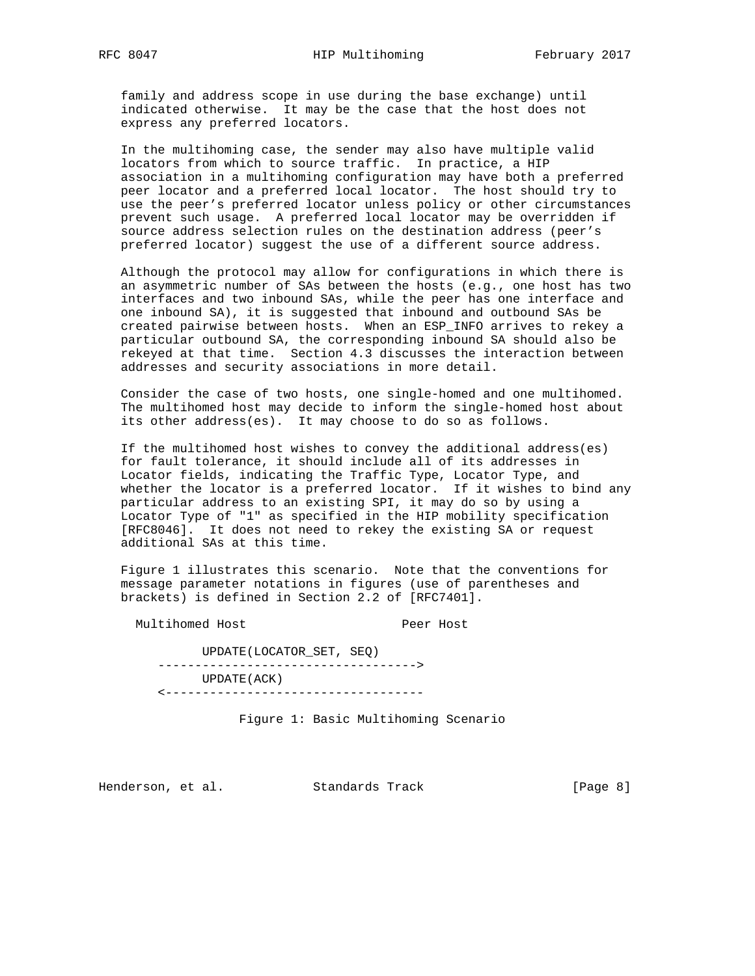family and address scope in use during the base exchange) until indicated otherwise. It may be the case that the host does not express any preferred locators.

 In the multihoming case, the sender may also have multiple valid locators from which to source traffic. In practice, a HIP association in a multihoming configuration may have both a preferred peer locator and a preferred local locator. The host should try to use the peer's preferred locator unless policy or other circumstances prevent such usage. A preferred local locator may be overridden if source address selection rules on the destination address (peer's preferred locator) suggest the use of a different source address.

 Although the protocol may allow for configurations in which there is an asymmetric number of SAs between the hosts (e.g., one host has two interfaces and two inbound SAs, while the peer has one interface and one inbound SA), it is suggested that inbound and outbound SAs be created pairwise between hosts. When an ESP\_INFO arrives to rekey a particular outbound SA, the corresponding inbound SA should also be rekeyed at that time. Section 4.3 discusses the interaction between addresses and security associations in more detail.

 Consider the case of two hosts, one single-homed and one multihomed. The multihomed host may decide to inform the single-homed host about its other address(es). It may choose to do so as follows.

 If the multihomed host wishes to convey the additional address(es) for fault tolerance, it should include all of its addresses in Locator fields, indicating the Traffic Type, Locator Type, and whether the locator is a preferred locator. If it wishes to bind any particular address to an existing SPI, it may do so by using a Locator Type of "1" as specified in the HIP mobility specification [RFC8046]. It does not need to rekey the existing SA or request additional SAs at this time.

 Figure 1 illustrates this scenario. Note that the conventions for message parameter notations in figures (use of parentheses and brackets) is defined in Section 2.2 of [RFC7401].

Multihomed Host Peer Host

 UPDATE(LOCATOR\_SET, SEQ) -----------------------------------> UPDATE(ACK) <-----------------------------------

Figure 1: Basic Multihoming Scenario

Henderson, et al. Standards Track [Page 8]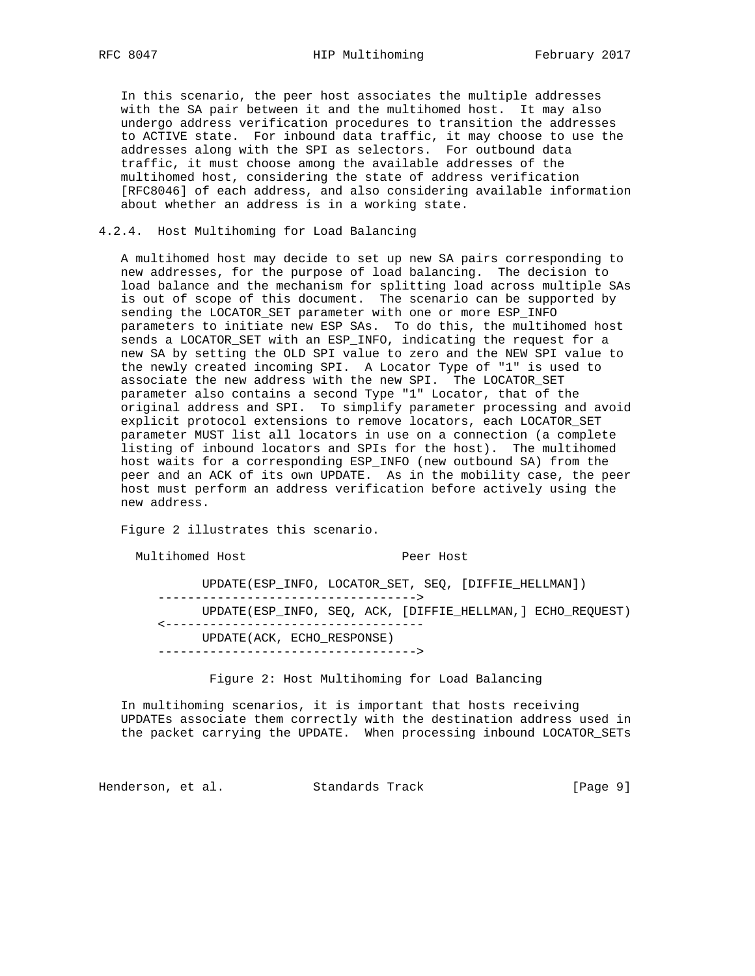In this scenario, the peer host associates the multiple addresses with the SA pair between it and the multihomed host. It may also undergo address verification procedures to transition the addresses to ACTIVE state. For inbound data traffic, it may choose to use the addresses along with the SPI as selectors. For outbound data traffic, it must choose among the available addresses of the multihomed host, considering the state of address verification [RFC8046] of each address, and also considering available information about whether an address is in a working state.

### 4.2.4. Host Multihoming for Load Balancing

 A multihomed host may decide to set up new SA pairs corresponding to new addresses, for the purpose of load balancing. The decision to load balance and the mechanism for splitting load across multiple SAs is out of scope of this document. The scenario can be supported by sending the LOCATOR\_SET parameter with one or more ESP\_INFO parameters to initiate new ESP SAs. To do this, the multihomed host sends a LOCATOR\_SET with an ESP\_INFO, indicating the request for a new SA by setting the OLD SPI value to zero and the NEW SPI value to the newly created incoming SPI. A Locator Type of "1" is used to associate the new address with the new SPI. The LOCATOR\_SET parameter also contains a second Type "1" Locator, that of the original address and SPI. To simplify parameter processing and avoid explicit protocol extensions to remove locators, each LOCATOR\_SET parameter MUST list all locators in use on a connection (a complete listing of inbound locators and SPIs for the host). The multihomed host waits for a corresponding ESP\_INFO (new outbound SA) from the peer and an ACK of its own UPDATE. As in the mobility case, the peer host must perform an address verification before actively using the new address.

Figure 2 illustrates this scenario.

Multihomed Host Peer Host

 UPDATE(ESP\_INFO, LOCATOR\_SET, SEQ, [DIFFIE\_HELLMAN]) -----------------------------------> UPDATE(ESP\_INFO, SEQ, ACK, [DIFFIE\_HELLMAN,] ECHO\_REQUEST) <----------------------------------- UPDATE(ACK, ECHO\_RESPONSE) ----------------------------------->

Figure 2: Host Multihoming for Load Balancing

 In multihoming scenarios, it is important that hosts receiving UPDATEs associate them correctly with the destination address used in the packet carrying the UPDATE. When processing inbound LOCATOR\_SETs

Henderson, et al. Standards Track [Page 9]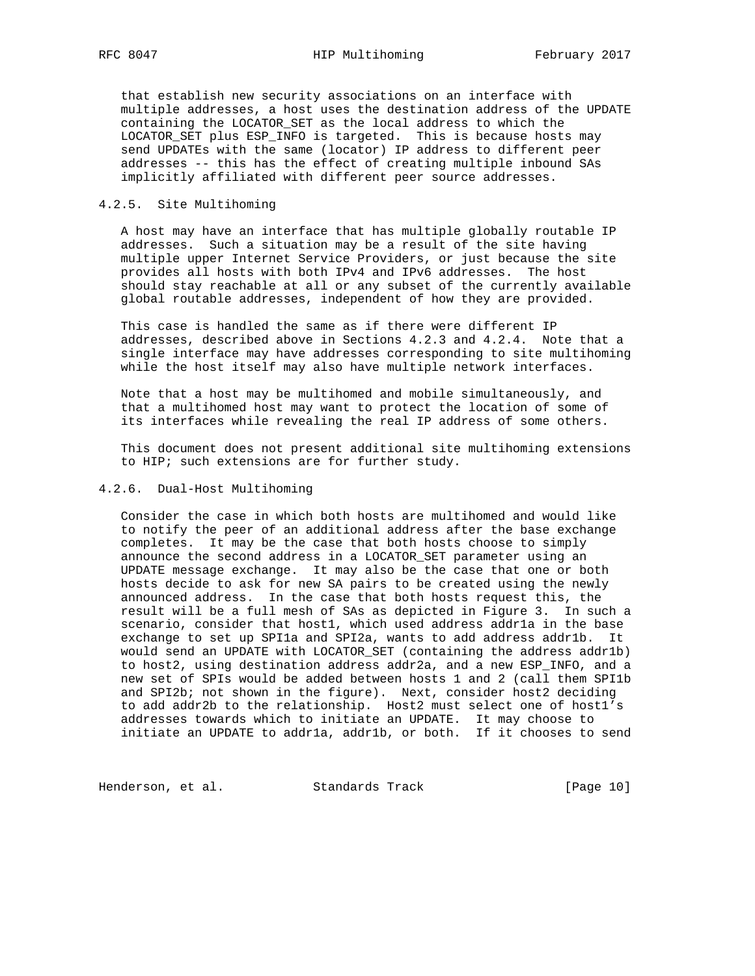that establish new security associations on an interface with multiple addresses, a host uses the destination address of the UPDATE containing the LOCATOR\_SET as the local address to which the LOCATOR\_SET plus ESP\_INFO is targeted. This is because hosts may send UPDATEs with the same (locator) IP address to different peer addresses -- this has the effect of creating multiple inbound SAs implicitly affiliated with different peer source addresses.

### 4.2.5. Site Multihoming

 A host may have an interface that has multiple globally routable IP addresses. Such a situation may be a result of the site having multiple upper Internet Service Providers, or just because the site provides all hosts with both IPv4 and IPv6 addresses. The host should stay reachable at all or any subset of the currently available global routable addresses, independent of how they are provided.

 This case is handled the same as if there were different IP addresses, described above in Sections 4.2.3 and 4.2.4. Note that a single interface may have addresses corresponding to site multihoming while the host itself may also have multiple network interfaces.

 Note that a host may be multihomed and mobile simultaneously, and that a multihomed host may want to protect the location of some of its interfaces while revealing the real IP address of some others.

 This document does not present additional site multihoming extensions to HIP; such extensions are for further study.

### 4.2.6. Dual-Host Multihoming

 Consider the case in which both hosts are multihomed and would like to notify the peer of an additional address after the base exchange completes. It may be the case that both hosts choose to simply announce the second address in a LOCATOR\_SET parameter using an UPDATE message exchange. It may also be the case that one or both hosts decide to ask for new SA pairs to be created using the newly announced address. In the case that both hosts request this, the result will be a full mesh of SAs as depicted in Figure 3. In such a scenario, consider that host1, which used address addr1a in the base exchange to set up SPI1a and SPI2a, wants to add address addr1b. It would send an UPDATE with LOCATOR\_SET (containing the address addr1b) to host2, using destination address addr2a, and a new ESP\_INFO, and a new set of SPIs would be added between hosts 1 and 2 (call them SPI1b and SPI2b; not shown in the figure). Next, consider host2 deciding to add addr2b to the relationship. Host2 must select one of host1's addresses towards which to initiate an UPDATE. It may choose to initiate an UPDATE to addr1a, addr1b, or both. If it chooses to send

Henderson, et al. Standards Track [Page 10]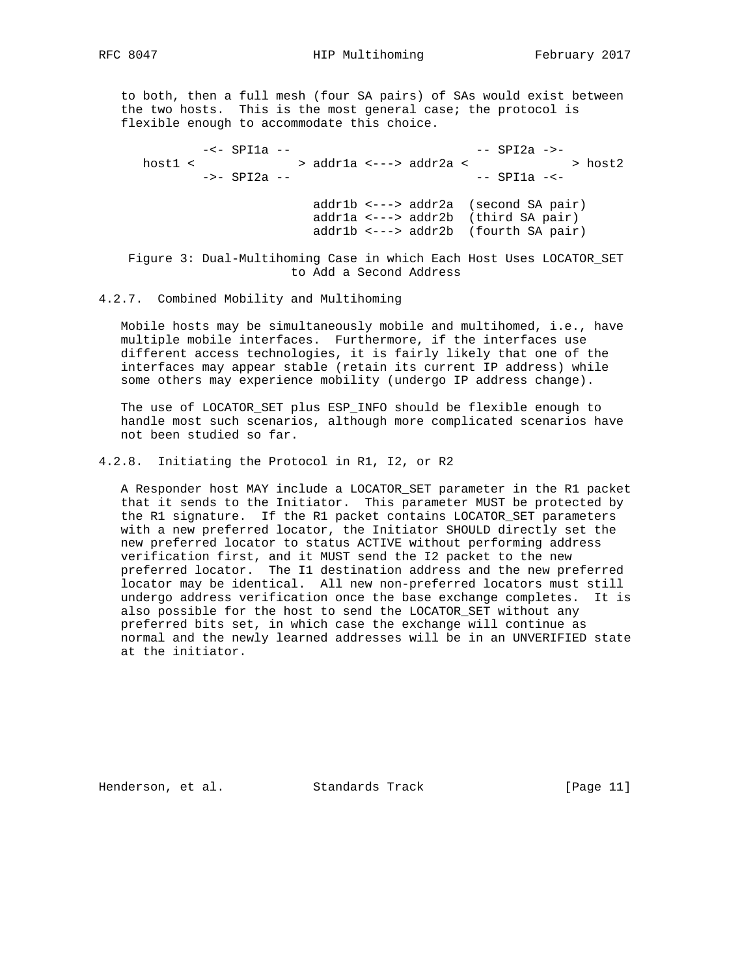to both, then a full mesh (four SA pairs) of SAs would exist between the two hosts. This is the most general case; the protocol is flexible enough to accommodate this choice.

 -<- SPI1a -- -- SPI2a ->-  $\texttt{host1}~<~\texttt{3}~\texttt{3}~\texttt{3}~\texttt{4}~\texttt{4}~\texttt{4}~\texttt{4}~\texttt{4}~\texttt{4}~\texttt{4}~\texttt{4}~\texttt{4}~\texttt{4}~\texttt{4}~\texttt{4}~\texttt{4}~\texttt{4}~\texttt{4}~\texttt{4}~\texttt{4}~\texttt{4}~\texttt{4}~\texttt{4}~\texttt{4}~\texttt{4}~\texttt{4}~\texttt{4}~\texttt{4}~\texttt{4}~\texttt{4}~$  ->- SPI2a -- -- SPI1a -< addr1b <---> addr2a (second SA pair) addr1a <---> addr2b (third SA pair) addr1b <---> addr2b (fourth SA pair)

 Figure 3: Dual-Multihoming Case in which Each Host Uses LOCATOR\_SET to Add a Second Address

### 4.2.7. Combined Mobility and Multihoming

 Mobile hosts may be simultaneously mobile and multihomed, i.e., have multiple mobile interfaces. Furthermore, if the interfaces use different access technologies, it is fairly likely that one of the interfaces may appear stable (retain its current IP address) while some others may experience mobility (undergo IP address change).

 The use of LOCATOR\_SET plus ESP\_INFO should be flexible enough to handle most such scenarios, although more complicated scenarios have not been studied so far.

# 4.2.8. Initiating the Protocol in R1, I2, or R2

 A Responder host MAY include a LOCATOR\_SET parameter in the R1 packet that it sends to the Initiator. This parameter MUST be protected by the R1 signature. If the R1 packet contains LOCATOR\_SET parameters with a new preferred locator, the Initiator SHOULD directly set the new preferred locator to status ACTIVE without performing address verification first, and it MUST send the I2 packet to the new preferred locator. The I1 destination address and the new preferred locator may be identical. All new non-preferred locators must still undergo address verification once the base exchange completes. It is also possible for the host to send the LOCATOR\_SET without any preferred bits set, in which case the exchange will continue as normal and the newly learned addresses will be in an UNVERIFIED state at the initiator.

Henderson, et al. Standards Track [Page 11]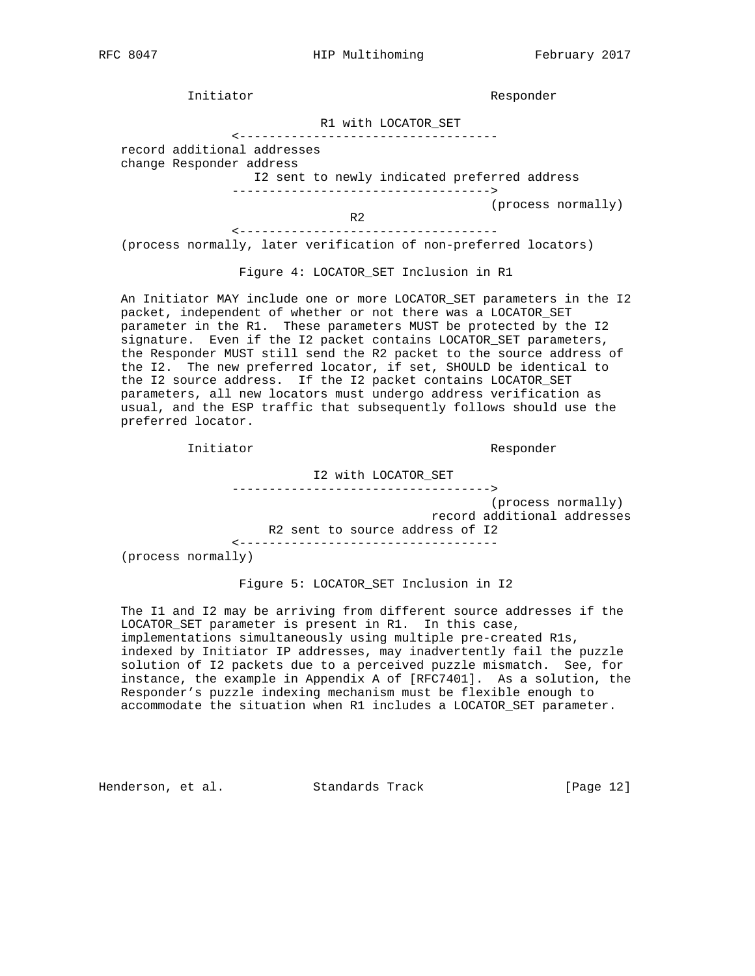Initiator Responder

R1 with LOCATOR\_SET

<-----------------------------------

 record additional addresses change Responder address

 I2 sent to newly indicated preferred address ----------------------------------->

(process normally)

R<sub>2</sub> <-----------------------------------

(process normally, later verification of non-preferred locators)

Figure 4: LOCATOR\_SET Inclusion in R1

An Initiator MAY include one or more LOCATOR SET parameters in the I2 packet, independent of whether or not there was a LOCATOR\_SET parameter in the R1. These parameters MUST be protected by the I2 signature. Even if the I2 packet contains LOCATOR\_SET parameters, the Responder MUST still send the R2 packet to the source address of the I2. The new preferred locator, if set, SHOULD be identical to the I2 source address. If the I2 packet contains LOCATOR\_SET parameters, all new locators must undergo address verification as usual, and the ESP traffic that subsequently follows should use the preferred locator.

Initiator Responder

I2 with LOCATOR\_SET

----------------------------------->

 (process normally) record additional addresses R2 sent to source address of I2

<-----------------------------------

(process normally)

Figure 5: LOCATOR\_SET Inclusion in I2

 The I1 and I2 may be arriving from different source addresses if the LOCATOR\_SET parameter is present in R1. In this case, implementations simultaneously using multiple pre-created R1s, indexed by Initiator IP addresses, may inadvertently fail the puzzle solution of I2 packets due to a perceived puzzle mismatch. See, for instance, the example in Appendix A of [RFC7401]. As a solution, the Responder's puzzle indexing mechanism must be flexible enough to accommodate the situation when R1 includes a LOCATOR\_SET parameter.

Henderson, et al. Standards Track [Page 12]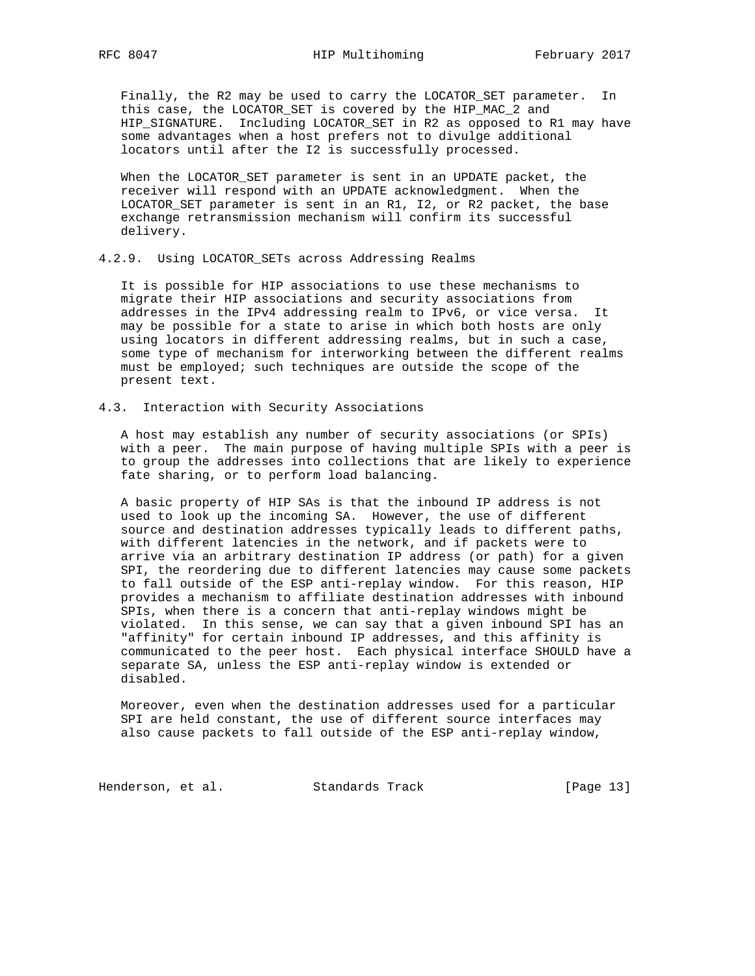Finally, the R2 may be used to carry the LOCATOR\_SET parameter. In this case, the LOCATOR\_SET is covered by the HIP\_MAC\_2 and HIP\_SIGNATURE. Including LOCATOR\_SET in R2 as opposed to R1 may have some advantages when a host prefers not to divulge additional locators until after the I2 is successfully processed.

 When the LOCATOR\_SET parameter is sent in an UPDATE packet, the receiver will respond with an UPDATE acknowledgment. When the LOCATOR\_SET parameter is sent in an R1, I2, or R2 packet, the base exchange retransmission mechanism will confirm its successful delivery.

### 4.2.9. Using LOCATOR\_SETs across Addressing Realms

 It is possible for HIP associations to use these mechanisms to migrate their HIP associations and security associations from addresses in the IPv4 addressing realm to IPv6, or vice versa. It may be possible for a state to arise in which both hosts are only using locators in different addressing realms, but in such a case, some type of mechanism for interworking between the different realms must be employed; such techniques are outside the scope of the present text.

4.3. Interaction with Security Associations

 A host may establish any number of security associations (or SPIs) with a peer. The main purpose of having multiple SPIs with a peer is to group the addresses into collections that are likely to experience fate sharing, or to perform load balancing.

 A basic property of HIP SAs is that the inbound IP address is not used to look up the incoming SA. However, the use of different source and destination addresses typically leads to different paths, with different latencies in the network, and if packets were to arrive via an arbitrary destination IP address (or path) for a given SPI, the reordering due to different latencies may cause some packets to fall outside of the ESP anti-replay window. For this reason, HIP provides a mechanism to affiliate destination addresses with inbound SPIs, when there is a concern that anti-replay windows might be violated. In this sense, we can say that a given inbound SPI has an "affinity" for certain inbound IP addresses, and this affinity is communicated to the peer host. Each physical interface SHOULD have a separate SA, unless the ESP anti-replay window is extended or disabled.

 Moreover, even when the destination addresses used for a particular SPI are held constant, the use of different source interfaces may also cause packets to fall outside of the ESP anti-replay window,

Henderson, et al. Standards Track [Page 13]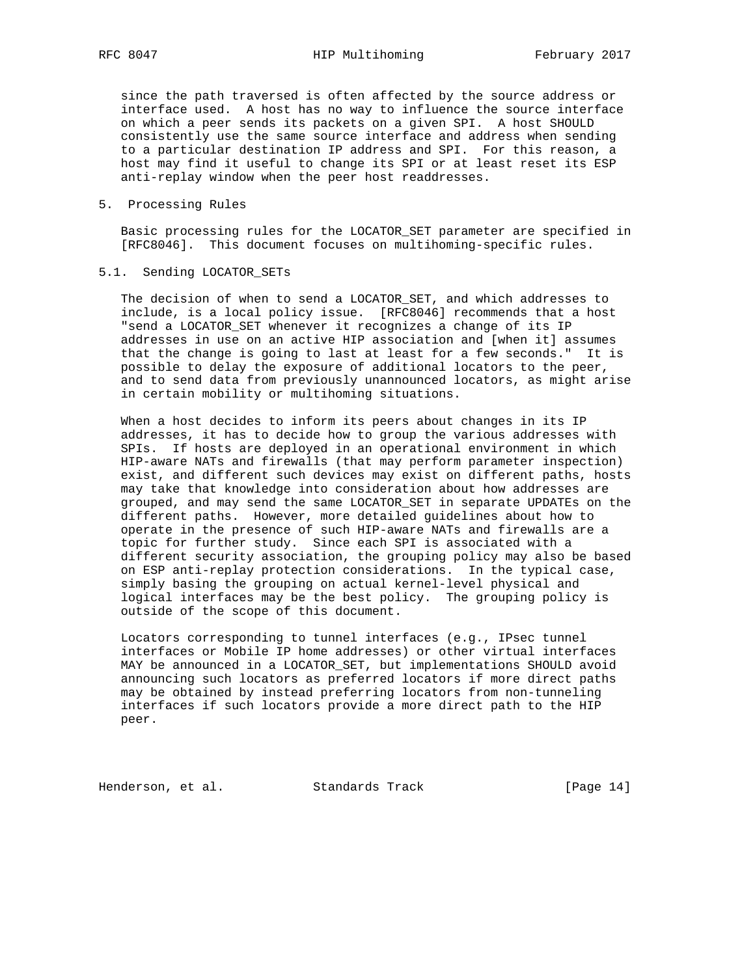since the path traversed is often affected by the source address or interface used. A host has no way to influence the source interface on which a peer sends its packets on a given SPI. A host SHOULD consistently use the same source interface and address when sending to a particular destination IP address and SPI. For this reason, a host may find it useful to change its SPI or at least reset its ESP anti-replay window when the peer host readdresses.

### 5. Processing Rules

 Basic processing rules for the LOCATOR\_SET parameter are specified in [RFC8046]. This document focuses on multihoming-specific rules.

### 5.1. Sending LOCATOR\_SETs

 The decision of when to send a LOCATOR\_SET, and which addresses to include, is a local policy issue. [RFC8046] recommends that a host "send a LOCATOR\_SET whenever it recognizes a change of its IP addresses in use on an active HIP association and [when it] assumes that the change is going to last at least for a few seconds." It is possible to delay the exposure of additional locators to the peer, and to send data from previously unannounced locators, as might arise in certain mobility or multihoming situations.

 When a host decides to inform its peers about changes in its IP addresses, it has to decide how to group the various addresses with SPIs. If hosts are deployed in an operational environment in which HIP-aware NATs and firewalls (that may perform parameter inspection) exist, and different such devices may exist on different paths, hosts may take that knowledge into consideration about how addresses are grouped, and may send the same LOCATOR\_SET in separate UPDATEs on the different paths. However, more detailed guidelines about how to operate in the presence of such HIP-aware NATs and firewalls are a topic for further study. Since each SPI is associated with a different security association, the grouping policy may also be based on ESP anti-replay protection considerations. In the typical case, simply basing the grouping on actual kernel-level physical and logical interfaces may be the best policy. The grouping policy is outside of the scope of this document.

 Locators corresponding to tunnel interfaces (e.g., IPsec tunnel interfaces or Mobile IP home addresses) or other virtual interfaces MAY be announced in a LOCATOR\_SET, but implementations SHOULD avoid announcing such locators as preferred locators if more direct paths may be obtained by instead preferring locators from non-tunneling interfaces if such locators provide a more direct path to the HIP peer.

Henderson, et al. Standards Track [Page 14]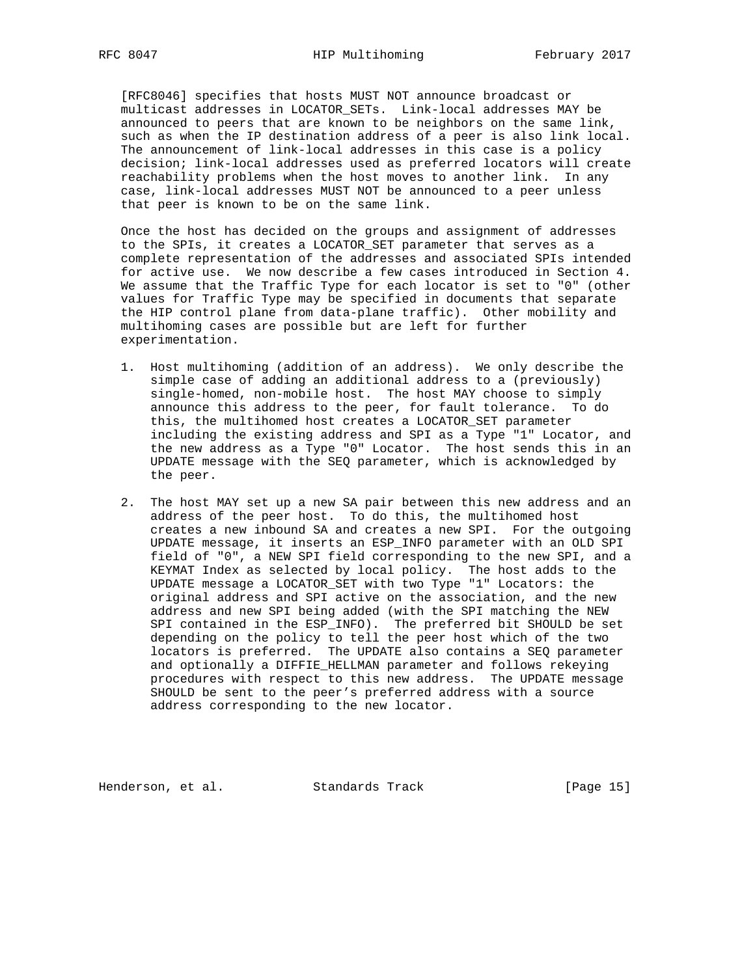[RFC8046] specifies that hosts MUST NOT announce broadcast or multicast addresses in LOCATOR\_SETs. Link-local addresses MAY be announced to peers that are known to be neighbors on the same link, such as when the IP destination address of a peer is also link local. The announcement of link-local addresses in this case is a policy decision; link-local addresses used as preferred locators will create reachability problems when the host moves to another link. In any case, link-local addresses MUST NOT be announced to a peer unless that peer is known to be on the same link.

 Once the host has decided on the groups and assignment of addresses to the SPIs, it creates a LOCATOR\_SET parameter that serves as a complete representation of the addresses and associated SPIs intended for active use. We now describe a few cases introduced in Section 4. We assume that the Traffic Type for each locator is set to "0" (other values for Traffic Type may be specified in documents that separate the HIP control plane from data-plane traffic). Other mobility and multihoming cases are possible but are left for further experimentation.

- 1. Host multihoming (addition of an address). We only describe the simple case of adding an additional address to a (previously) single-homed, non-mobile host. The host MAY choose to simply announce this address to the peer, for fault tolerance. To do this, the multihomed host creates a LOCATOR\_SET parameter including the existing address and SPI as a Type "1" Locator, and the new address as a Type "0" Locator. The host sends this in an UPDATE message with the SEQ parameter, which is acknowledged by the peer.
	- 2. The host MAY set up a new SA pair between this new address and an address of the peer host. To do this, the multihomed host creates a new inbound SA and creates a new SPI. For the outgoing UPDATE message, it inserts an ESP\_INFO parameter with an OLD SPI field of "0", a NEW SPI field corresponding to the new SPI, and a KEYMAT Index as selected by local policy. The host adds to the UPDATE message a LOCATOR\_SET with two Type "1" Locators: the original address and SPI active on the association, and the new address and new SPI being added (with the SPI matching the NEW SPI contained in the ESP\_INFO). The preferred bit SHOULD be set depending on the policy to tell the peer host which of the two locators is preferred. The UPDATE also contains a SEQ parameter and optionally a DIFFIE\_HELLMAN parameter and follows rekeying procedures with respect to this new address. The UPDATE message SHOULD be sent to the peer's preferred address with a source address corresponding to the new locator.

Henderson, et al. Standards Track [Page 15]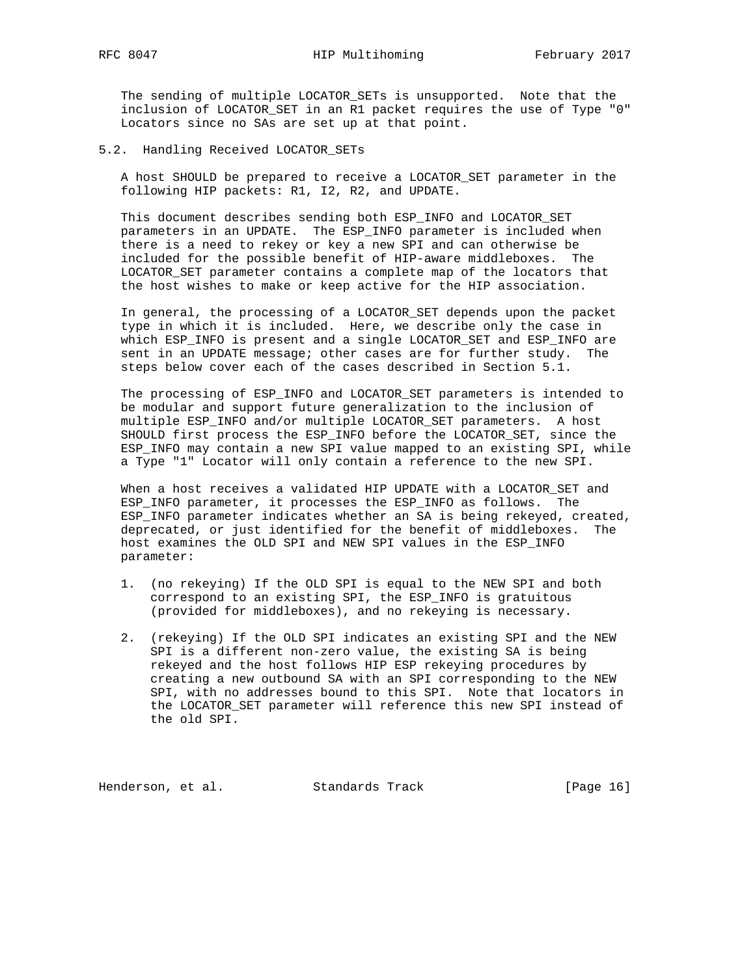The sending of multiple LOCATOR\_SETs is unsupported. Note that the inclusion of LOCATOR\_SET in an R1 packet requires the use of Type "0" Locators since no SAs are set up at that point.

5.2. Handling Received LOCATOR\_SETs

 A host SHOULD be prepared to receive a LOCATOR\_SET parameter in the following HIP packets: R1, I2, R2, and UPDATE.

 This document describes sending both ESP\_INFO and LOCATOR\_SET parameters in an UPDATE. The ESP\_INFO parameter is included when there is a need to rekey or key a new SPI and can otherwise be included for the possible benefit of HIP-aware middleboxes. The LOCATOR\_SET parameter contains a complete map of the locators that the host wishes to make or keep active for the HIP association.

 In general, the processing of a LOCATOR\_SET depends upon the packet type in which it is included. Here, we describe only the case in which ESP\_INFO is present and a single LOCATOR\_SET and ESP\_INFO are sent in an UPDATE message; other cases are for further study. The steps below cover each of the cases described in Section 5.1.

 The processing of ESP\_INFO and LOCATOR\_SET parameters is intended to be modular and support future generalization to the inclusion of multiple ESP\_INFO and/or multiple LOCATOR\_SET parameters. A host SHOULD first process the ESP\_INFO before the LOCATOR\_SET, since the ESP\_INFO may contain a new SPI value mapped to an existing SPI, while a Type "1" Locator will only contain a reference to the new SPI.

When a host receives a validated HIP UPDATE with a LOCATOR SET and ESP\_INFO parameter, it processes the ESP\_INFO as follows. The ESP\_INFO parameter indicates whether an SA is being rekeyed, created, deprecated, or just identified for the benefit of middleboxes. The host examines the OLD SPI and NEW SPI values in the ESP\_INFO parameter:

- 1. (no rekeying) If the OLD SPI is equal to the NEW SPI and both correspond to an existing SPI, the ESP\_INFO is gratuitous (provided for middleboxes), and no rekeying is necessary.
- 2. (rekeying) If the OLD SPI indicates an existing SPI and the NEW SPI is a different non-zero value, the existing SA is being rekeyed and the host follows HIP ESP rekeying procedures by creating a new outbound SA with an SPI corresponding to the NEW SPI, with no addresses bound to this SPI. Note that locators in the LOCATOR\_SET parameter will reference this new SPI instead of the old SPI.

Henderson, et al. Standards Track [Page 16]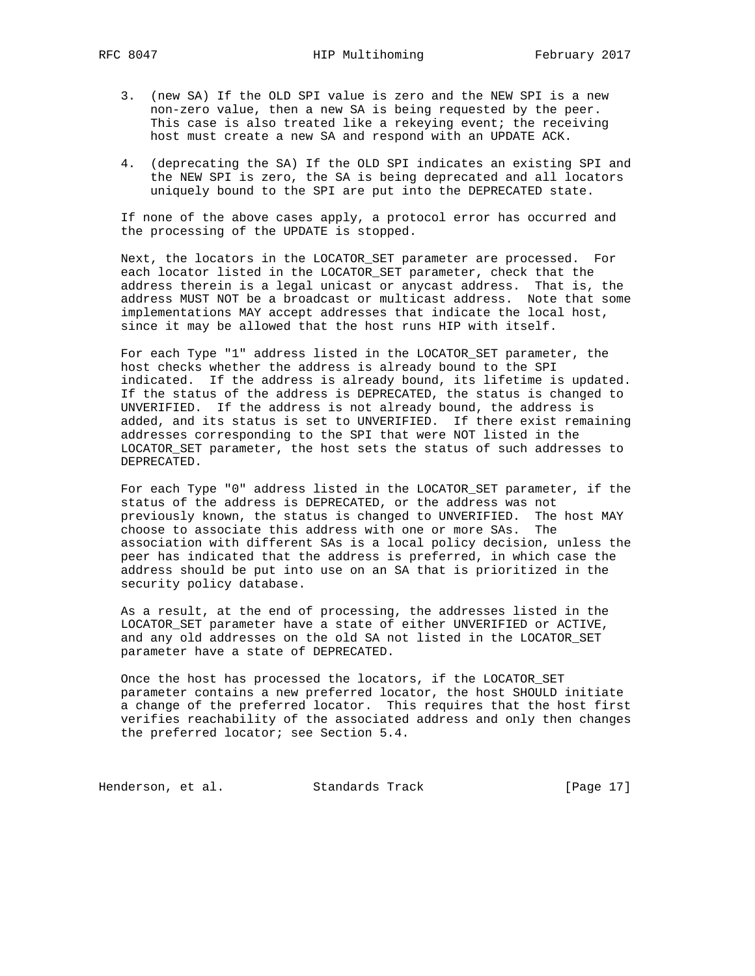- 3. (new SA) If the OLD SPI value is zero and the NEW SPI is a new non-zero value, then a new SA is being requested by the peer. This case is also treated like a rekeying event; the receiving host must create a new SA and respond with an UPDATE ACK.
- 4. (deprecating the SA) If the OLD SPI indicates an existing SPI and the NEW SPI is zero, the SA is being deprecated and all locators uniquely bound to the SPI are put into the DEPRECATED state.

 If none of the above cases apply, a protocol error has occurred and the processing of the UPDATE is stopped.

 Next, the locators in the LOCATOR\_SET parameter are processed. For each locator listed in the LOCATOR\_SET parameter, check that the address therein is a legal unicast or anycast address. That is, the address MUST NOT be a broadcast or multicast address. Note that some implementations MAY accept addresses that indicate the local host, since it may be allowed that the host runs HIP with itself.

 For each Type "1" address listed in the LOCATOR\_SET parameter, the host checks whether the address is already bound to the SPI indicated. If the address is already bound, its lifetime is updated. If the status of the address is DEPRECATED, the status is changed to UNVERIFIED. If the address is not already bound, the address is added, and its status is set to UNVERIFIED. If there exist remaining addresses corresponding to the SPI that were NOT listed in the LOCATOR\_SET parameter, the host sets the status of such addresses to DEPRECATED.

 For each Type "0" address listed in the LOCATOR\_SET parameter, if the status of the address is DEPRECATED, or the address was not previously known, the status is changed to UNVERIFIED. The host MAY choose to associate this address with one or more SAs. The association with different SAs is a local policy decision, unless the peer has indicated that the address is preferred, in which case the address should be put into use on an SA that is prioritized in the security policy database.

 As a result, at the end of processing, the addresses listed in the LOCATOR\_SET parameter have a state of either UNVERIFIED or ACTIVE, and any old addresses on the old SA not listed in the LOCATOR\_SET parameter have a state of DEPRECATED.

 Once the host has processed the locators, if the LOCATOR\_SET parameter contains a new preferred locator, the host SHOULD initiate a change of the preferred locator. This requires that the host first verifies reachability of the associated address and only then changes the preferred locator; see Section 5.4.

Henderson, et al. Standards Track [Page 17]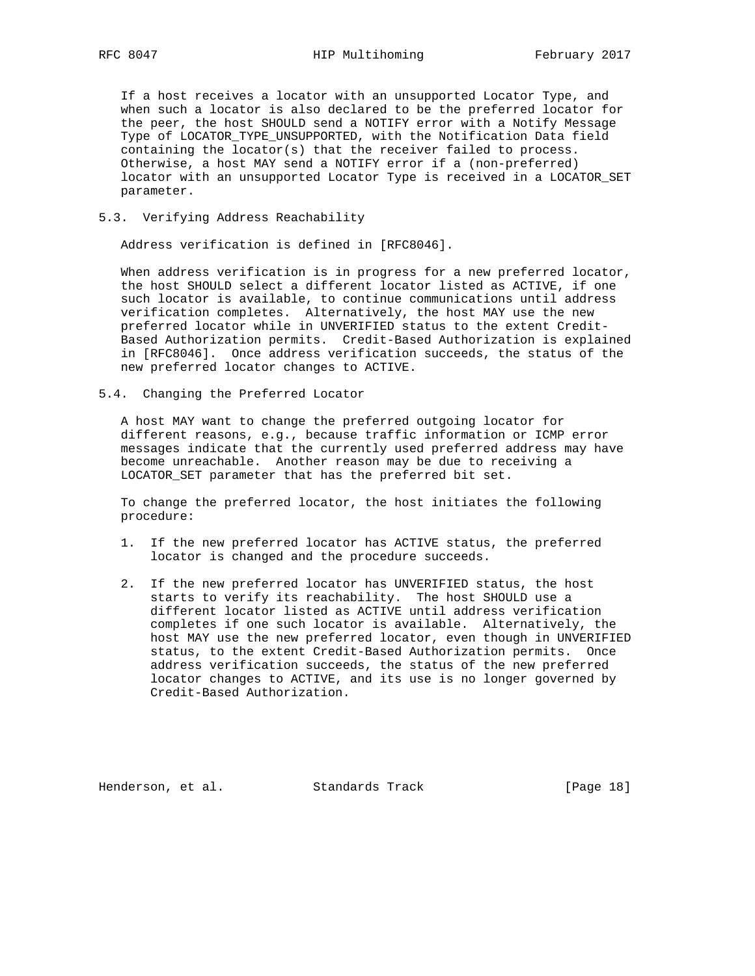If a host receives a locator with an unsupported Locator Type, and when such a locator is also declared to be the preferred locator for the peer, the host SHOULD send a NOTIFY error with a Notify Message Type of LOCATOR\_TYPE\_UNSUPPORTED, with the Notification Data field containing the locator(s) that the receiver failed to process. Otherwise, a host MAY send a NOTIFY error if a (non-preferred) locator with an unsupported Locator Type is received in a LOCATOR\_SET parameter.

### 5.3. Verifying Address Reachability

Address verification is defined in [RFC8046].

 When address verification is in progress for a new preferred locator, the host SHOULD select a different locator listed as ACTIVE, if one such locator is available, to continue communications until address verification completes. Alternatively, the host MAY use the new preferred locator while in UNVERIFIED status to the extent Credit- Based Authorization permits. Credit-Based Authorization is explained in [RFC8046]. Once address verification succeeds, the status of the new preferred locator changes to ACTIVE.

5.4. Changing the Preferred Locator

 A host MAY want to change the preferred outgoing locator for different reasons, e.g., because traffic information or ICMP error messages indicate that the currently used preferred address may have become unreachable. Another reason may be due to receiving a LOCATOR\_SET parameter that has the preferred bit set.

 To change the preferred locator, the host initiates the following procedure:

- 1. If the new preferred locator has ACTIVE status, the preferred locator is changed and the procedure succeeds.
- 2. If the new preferred locator has UNVERIFIED status, the host starts to verify its reachability. The host SHOULD use a different locator listed as ACTIVE until address verification completes if one such locator is available. Alternatively, the host MAY use the new preferred locator, even though in UNVERIFIED status, to the extent Credit-Based Authorization permits. Once address verification succeeds, the status of the new preferred locator changes to ACTIVE, and its use is no longer governed by Credit-Based Authorization.

Henderson, et al. Standards Track [Page 18]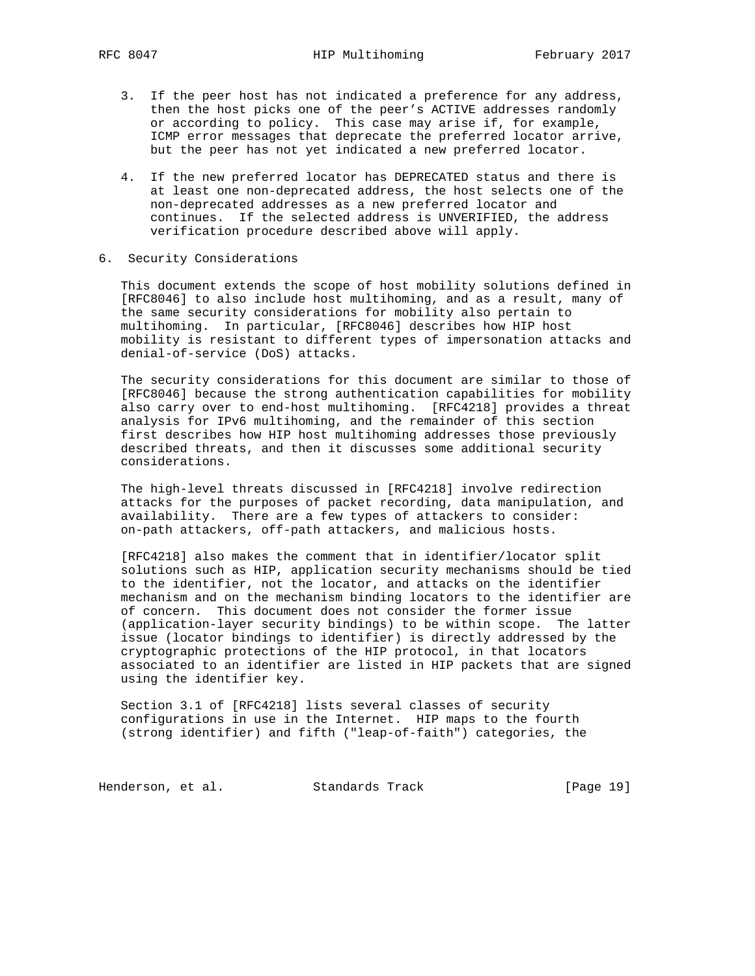- 3. If the peer host has not indicated a preference for any address, then the host picks one of the peer's ACTIVE addresses randomly or according to policy. This case may arise if, for example, ICMP error messages that deprecate the preferred locator arrive, but the peer has not yet indicated a new preferred locator.
	- 4. If the new preferred locator has DEPRECATED status and there is at least one non-deprecated address, the host selects one of the non-deprecated addresses as a new preferred locator and continues. If the selected address is UNVERIFIED, the address verification procedure described above will apply.
- 6. Security Considerations

 This document extends the scope of host mobility solutions defined in [RFC8046] to also include host multihoming, and as a result, many of the same security considerations for mobility also pertain to multihoming. In particular, [RFC8046] describes how HIP host mobility is resistant to different types of impersonation attacks and denial-of-service (DoS) attacks.

 The security considerations for this document are similar to those of [RFC8046] because the strong authentication capabilities for mobility also carry over to end-host multihoming. [RFC4218] provides a threat analysis for IPv6 multihoming, and the remainder of this section first describes how HIP host multihoming addresses those previously described threats, and then it discusses some additional security considerations.

 The high-level threats discussed in [RFC4218] involve redirection attacks for the purposes of packet recording, data manipulation, and availability. There are a few types of attackers to consider: on-path attackers, off-path attackers, and malicious hosts.

 [RFC4218] also makes the comment that in identifier/locator split solutions such as HIP, application security mechanisms should be tied to the identifier, not the locator, and attacks on the identifier mechanism and on the mechanism binding locators to the identifier are of concern. This document does not consider the former issue (application-layer security bindings) to be within scope. The latter issue (locator bindings to identifier) is directly addressed by the cryptographic protections of the HIP protocol, in that locators associated to an identifier are listed in HIP packets that are signed using the identifier key.

 Section 3.1 of [RFC4218] lists several classes of security configurations in use in the Internet. HIP maps to the fourth (strong identifier) and fifth ("leap-of-faith") categories, the

Henderson, et al. Standards Track [Page 19]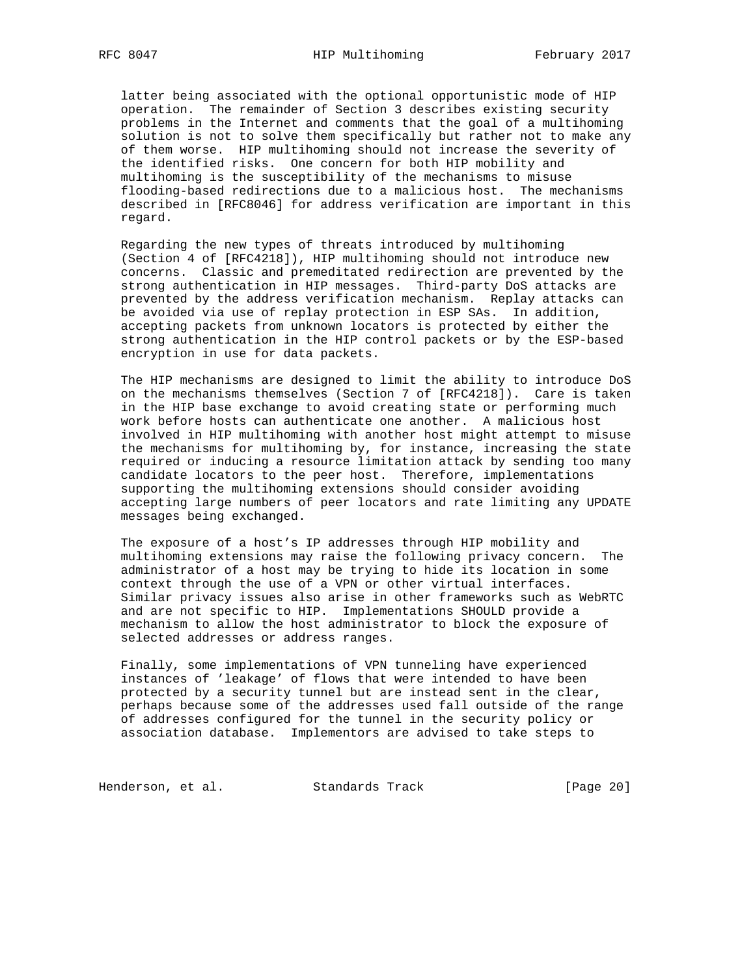latter being associated with the optional opportunistic mode of HIP operation. The remainder of Section 3 describes existing security problems in the Internet and comments that the goal of a multihoming solution is not to solve them specifically but rather not to make any of them worse. HIP multihoming should not increase the severity of the identified risks. One concern for both HIP mobility and multihoming is the susceptibility of the mechanisms to misuse flooding-based redirections due to a malicious host. The mechanisms described in [RFC8046] for address verification are important in this regard.

 Regarding the new types of threats introduced by multihoming (Section 4 of [RFC4218]), HIP multihoming should not introduce new concerns. Classic and premeditated redirection are prevented by the strong authentication in HIP messages. Third-party DoS attacks are prevented by the address verification mechanism. Replay attacks can be avoided via use of replay protection in ESP SAs. In addition, accepting packets from unknown locators is protected by either the strong authentication in the HIP control packets or by the ESP-based encryption in use for data packets.

 The HIP mechanisms are designed to limit the ability to introduce DoS on the mechanisms themselves (Section 7 of [RFC4218]). Care is taken in the HIP base exchange to avoid creating state or performing much work before hosts can authenticate one another. A malicious host involved in HIP multihoming with another host might attempt to misuse the mechanisms for multihoming by, for instance, increasing the state required or inducing a resource limitation attack by sending too many candidate locators to the peer host. Therefore, implementations supporting the multihoming extensions should consider avoiding accepting large numbers of peer locators and rate limiting any UPDATE messages being exchanged.

 The exposure of a host's IP addresses through HIP mobility and multihoming extensions may raise the following privacy concern. The administrator of a host may be trying to hide its location in some context through the use of a VPN or other virtual interfaces. Similar privacy issues also arise in other frameworks such as WebRTC and are not specific to HIP. Implementations SHOULD provide a mechanism to allow the host administrator to block the exposure of selected addresses or address ranges.

 Finally, some implementations of VPN tunneling have experienced instances of 'leakage' of flows that were intended to have been protected by a security tunnel but are instead sent in the clear, perhaps because some of the addresses used fall outside of the range of addresses configured for the tunnel in the security policy or association database. Implementors are advised to take steps to

Henderson, et al. Standards Track [Page 20]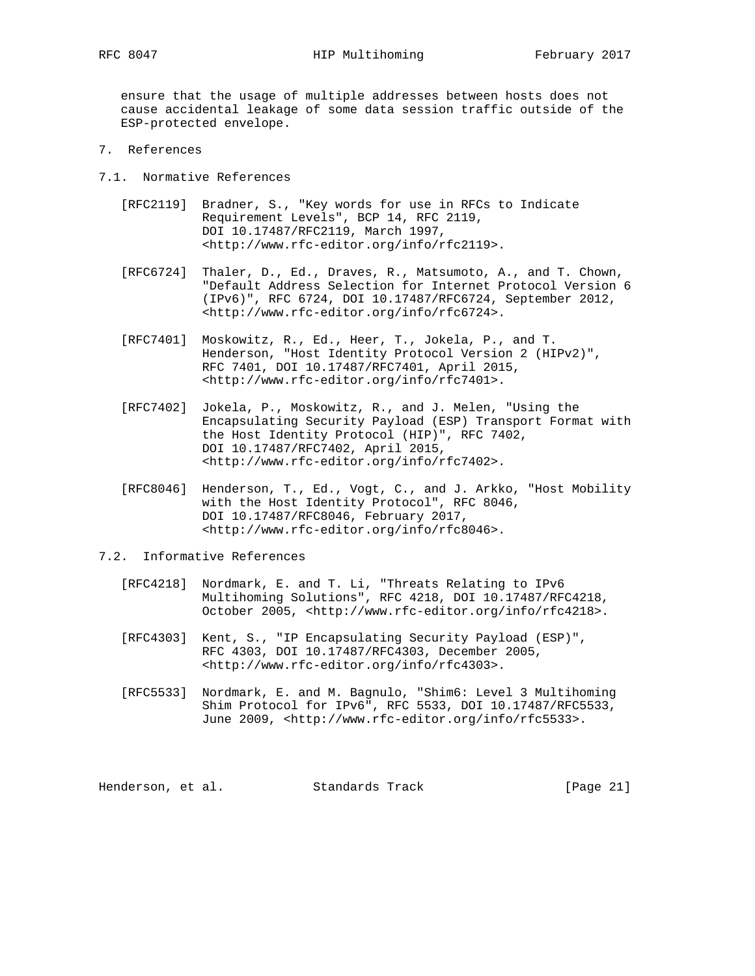ensure that the usage of multiple addresses between hosts does not cause accidental leakage of some data session traffic outside of the ESP-protected envelope.

- 7. References
- 7.1. Normative References
	- [RFC2119] Bradner, S., "Key words for use in RFCs to Indicate Requirement Levels", BCP 14, RFC 2119, DOI 10.17487/RFC2119, March 1997, <http://www.rfc-editor.org/info/rfc2119>.
	- [RFC6724] Thaler, D., Ed., Draves, R., Matsumoto, A., and T. Chown, "Default Address Selection for Internet Protocol Version 6 (IPv6)", RFC 6724, DOI 10.17487/RFC6724, September 2012, <http://www.rfc-editor.org/info/rfc6724>.
	- [RFC7401] Moskowitz, R., Ed., Heer, T., Jokela, P., and T. Henderson, "Host Identity Protocol Version 2 (HIPv2)", RFC 7401, DOI 10.17487/RFC7401, April 2015, <http://www.rfc-editor.org/info/rfc7401>.
	- [RFC7402] Jokela, P., Moskowitz, R., and J. Melen, "Using the Encapsulating Security Payload (ESP) Transport Format with the Host Identity Protocol (HIP)", RFC 7402, DOI 10.17487/RFC7402, April 2015, <http://www.rfc-editor.org/info/rfc7402>.
	- [RFC8046] Henderson, T., Ed., Vogt, C., and J. Arkko, "Host Mobility with the Host Identity Protocol", RFC 8046, DOI 10.17487/RFC8046, February 2017, <http://www.rfc-editor.org/info/rfc8046>.
- 7.2. Informative References
	- [RFC4218] Nordmark, E. and T. Li, "Threats Relating to IPv6 Multihoming Solutions", RFC 4218, DOI 10.17487/RFC4218, October 2005, <http://www.rfc-editor.org/info/rfc4218>.
	- [RFC4303] Kent, S., "IP Encapsulating Security Payload (ESP)", RFC 4303, DOI 10.17487/RFC4303, December 2005, <http://www.rfc-editor.org/info/rfc4303>.
	- [RFC5533] Nordmark, E. and M. Bagnulo, "Shim6: Level 3 Multihoming Shim Protocol for IPv6", RFC 5533, DOI 10.17487/RFC5533, June 2009, <http://www.rfc-editor.org/info/rfc5533>.

Henderson, et al. Standards Track [Page 21]